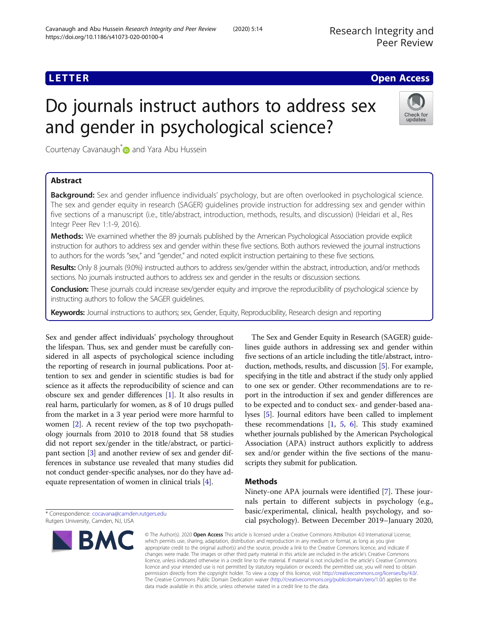## **LETTER CONSTRUCTION CONSTRUCTION**

Check for updates

# Do journals instruct authors to address sex and gender in psychological science?

Courtenay Cavanaugh<sup>\*</sup> and Yara Abu Hussein

## Abstract

Background: Sex and gender influence individuals' psychology, but are often overlooked in psychological science. The sex and gender equity in research (SAGER) guidelines provide instruction for addressing sex and gender within five sections of a manuscript (i.e., title/abstract, introduction, methods, results, and discussion) (Heidari et al., Res Integr Peer Rev 1:1-9, 2016).

Methods: We examined whether the 89 journals published by the American Psychological Association provide explicit instruction for authors to address sex and gender within these five sections. Both authors reviewed the journal instructions to authors for the words "sex," and "gender," and noted explicit instruction pertaining to these five sections.

Results: Only 8 journals (9.0%) instructed authors to address sex/gender within the abstract, introduction, and/or methods sections. No journals instructed authors to address sex and gender in the results or discussion sections.

Conclusion: These journals could increase sex/gender equity and improve the reproducibility of psychological science by instructing authors to follow the SAGER guidelines.

Keywords: Journal instructions to authors; sex, Gender, Equity, Reproducibility, Research design and reporting

Sex and gender affect individuals' psychology throughout the lifespan. Thus, sex and gender must be carefully considered in all aspects of psychological science including the reporting of research in journal publications. Poor attention to sex and gender in scientific studies is bad for science as it affects the reproducibility of science and can obscure sex and gender differences [[1\]](#page-1-0). It also results in real harm, particularly for women, as 8 of 10 drugs pulled from the market in a 3 year period were more harmful to women [\[2](#page-1-0)]. A recent review of the top two psychopathology journals from 2010 to 2018 found that 58 studies did not report sex/gender in the title/abstract, or participant section [[3](#page-1-0)] and another review of sex and gender differences in substance use revealed that many studies did not conduct gender-specific analyses, nor do they have adequate representation of women in clinical trials [\[4\]](#page-1-0).

\* Correspondence: [cocavana@camden.rutgers.edu](mailto:cocavana@camden.rutgers.edu) Rutgers University, Camden, NJ, USA



The Sex and Gender Equity in Research (SAGER) guidelines guide authors in addressing sex and gender within five sections of an article including the title/abstract, introduction, methods, results, and discussion [\[5\]](#page-1-0). For example, specifying in the title and abstract if the study only applied to one sex or gender. Other recommendations are to report in the introduction if sex and gender differences are to be expected and to conduct sex- and gender-based analyses [[5](#page-1-0)]. Journal editors have been called to implement these recommendations  $[1, 5, 6]$  $[1, 5, 6]$  $[1, 5, 6]$  $[1, 5, 6]$  $[1, 5, 6]$  $[1, 5, 6]$ . This study examined whether journals published by the American Psychological Association (APA) instruct authors explicitly to address sex and/or gender within the five sections of the manuscripts they submit for publication.

## Methods

Ninety-one APA journals were identified [\[7\]](#page-1-0). These journals pertain to different subjects in psychology (e.g., basic/experimental, clinical, health psychology, and social psychology). Between December 2019–January 2020,

© The Author(s), 2020 **Open Access** This article is licensed under a Creative Commons Attribution 4.0 International License, which permits use, sharing, adaptation, distribution and reproduction in any medium or format, as long as you give appropriate credit to the original author(s) and the source, provide a link to the Creative Commons licence, and indicate if changes were made. The images or other third party material in this article are included in the article's Creative Commons licence, unless indicated otherwise in a credit line to the material. If material is not included in the article's Creative Commons licence and your intended use is not permitted by statutory regulation or exceeds the permitted use, you will need to obtain permission directly from the copyright holder. To view a copy of this licence, visit [http://creativecommons.org/licenses/by/4.0/.](http://creativecommons.org/licenses/by/4.0/) The Creative Commons Public Domain Dedication waiver [\(http://creativecommons.org/publicdomain/zero/1.0/](http://creativecommons.org/publicdomain/zero/1.0/)) applies to the data made available in this article, unless otherwise stated in a credit line to the data.